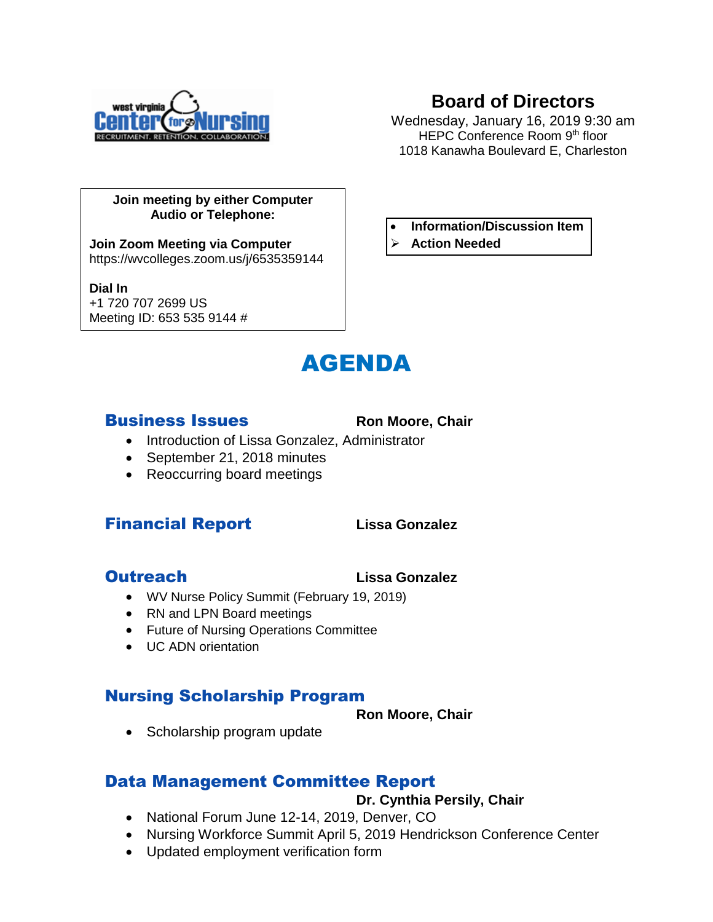

# **Board of Directors**

Wednesday, January 16, 2019 9:30 am HEPC Conference Room 9th floor 1018 Kanawha Boulevard E, Charleston

### **Join meeting by either Computer Audio or Telephone:**

**Join Zoom Meeting via Computer** https://wvcolleges.zoom.us/j/6535359144

### **Dial In**

+1 720 707 2699 US Meeting ID: 653 535 9144 #



### **Business Issues** Ron Moore, Chair

### • Introduction of Lissa Gonzalez, Administrator

- September 21, 2018 minutes
- Reoccurring board meetings

# Financial Report **Lissa Gonzalez**

## **Outreach Contract Contract Contract Contract Contract Contract Contract Contract Contract Contract Contract Contract Contract Contract Contract Contract Contract Contract Contract Contract Contract Contract Contract Contr**

- WV Nurse Policy Summit (February 19, 2019)
- RN and LPN Board meetings
- Future of Nursing Operations Committee
- **UC ADN** orientation

# Nursing Scholarship Program

**Ron Moore, Chair**

• Scholarship program update

# Data Management Committee Report

**Dr. Cynthia Persily, Chair**

- National Forum June 12-14, 2019, Denver, CO
- Nursing Workforce Summit April 5, 2019 Hendrickson Conference Center
- Updated employment verification form

# **Information/Discussion Item**

**Action Needed**